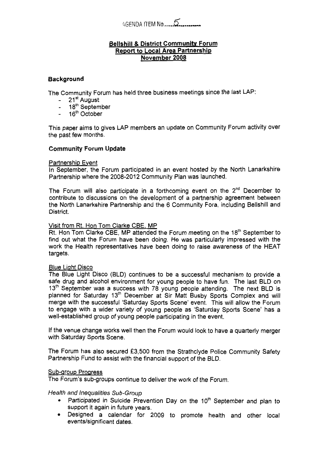# lGENDA ITEM **No** .....-! ..... -.

## **Bellshill** & **District Community Forum Report to Local Area Partnership November 2008**

# **Background**

The Community Forum has held three business meetings since the last LAP:

- 21<sup>st</sup> August
- 18th September
- $-16<sup>th</sup>$  October

This paper aims to gives LAP members an update on Community Forum activity over the past few months.

# **Community Forum Update**

## Partnership Event

In September, the Forum participated in an event hosted by the North Lanarkshire Partnership where the 2008-2012 Community Plan was launched.

The Forum will also participate in a forthcoming event on the  $2<sup>nd</sup>$  December to contribute to discussions on the development of a partnership agreement between the North Lanarkshire Partnership and the 6 Community Fora, including Bellshill and District.

# Visit from Rt. Hon Tom Clarke CBE, MP

Rt. Hon Tom Clarke CBE, MP attended the Forum meeting on the 18<sup>th</sup> September to find out what the Forum have been doing. He was particularly impressed with the work the Health representatives have been doing to raise awareness of the HEAT targets.

#### Blue Light Disco

The Blue Light Disco (BLD) continues to be **a** successful mechanism to provide a safe drug and alcohol environment for young people to have fun. The last BLD on 13<sup>th</sup> September was a success with 78 young people attending. The next BLD is planned for Saturday 13'h December at Sir Matt Busby Sports Complex and will merge with the successful 'Saturday Sports Scene' event. This will allow the Forum to engage with a wider variety of young people as 'Saturday Sports Scene' has a well-established group of young people participating in the event.

If the venue change works well then the Forum would look to have a quarterly merger with Saturday Sports Scene.

The Forum has also secured **f3,500** from the Strathclyde Police Community Safety Partnership Fund to assist with the financial support of the BLD.

## Sub-group Progress

The Forum's sub-groups continue to deliver the work *of* the Forum.

## *Health and Inequalities Sub-Group*

- Participated in Suicide Prevention Day on the 10<sup>th</sup> September and plan to support it again in future years.
- Designed a calendar for 2009 to promote health and other local events/significant dates.